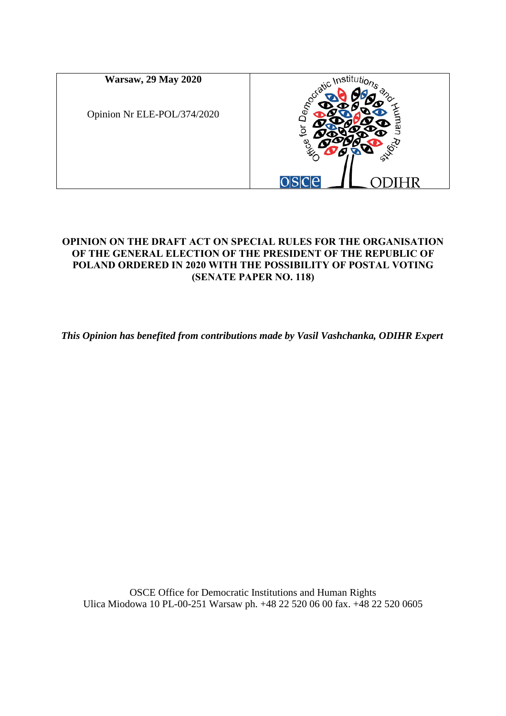

### **OPINION ON THE DRAFT ACT ON SPECIAL RULES FOR THE ORGANISATION OF THE GENERAL ELECTION OF THE PRESIDENT OF THE REPUBLIC OF POLAND ORDERED IN 2020 WITH THE POSSIBILITY OF POSTAL VOTING (SENATE PAPER NO. 118)**

*This Opinion has benefited from contributions made by Vasil Vashchanka, ODIHR Expert*

OSCE Office for Democratic Institutions and Human Rights Ulica Miodowa 10 PL-00-251 Warsaw ph. +48 22 520 06 00 fax. +48 22 520 0605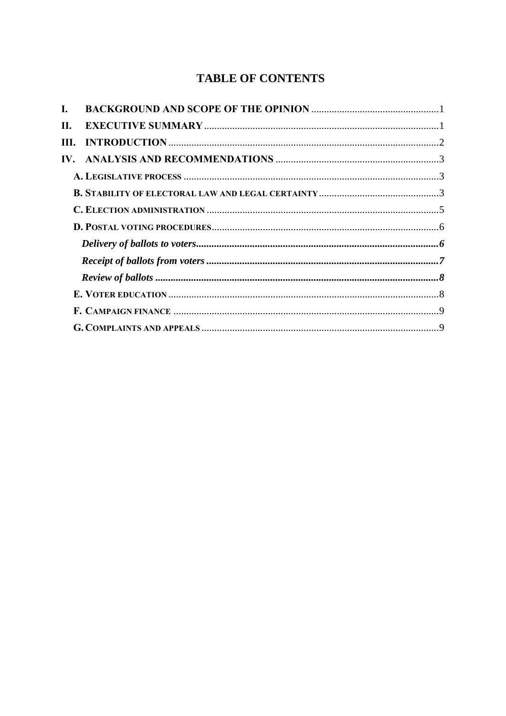# **TABLE OF CONTENTS**

| L.   |  |
|------|--|
| П.   |  |
| III. |  |
|      |  |
|      |  |
|      |  |
|      |  |
|      |  |
|      |  |
|      |  |
|      |  |
|      |  |
|      |  |
|      |  |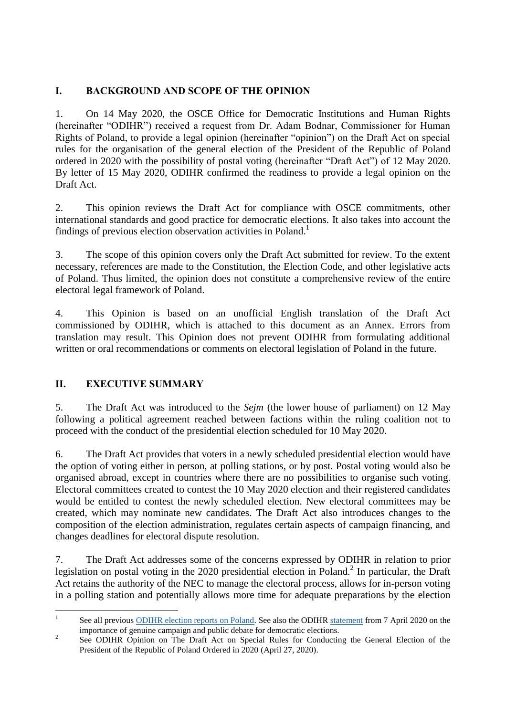# <span id="page-2-0"></span>**I. BACKGROUND AND SCOPE OF THE OPINION**

1. On 14 May 2020, the OSCE Office for Democratic Institutions and Human Rights (hereinafter "ODIHR") received a request from Dr. Adam Bodnar, Commissioner for Human Rights of Poland, to provide a legal opinion (hereinafter "opinion") on the Draft Act on special rules for the organisation of the general election of the President of the Republic of Poland ordered in 2020 with the possibility of postal voting (hereinafter "Draft Act") of 12 May 2020. By letter of 15 May 2020, ODIHR confirmed the readiness to provide a legal opinion on the Draft Act.

2. This opinion reviews the Draft Act for compliance with OSCE commitments, other international standards and good practice for democratic elections. It also takes into account the findings of previous election observation activities in Poland.<sup>1</sup>

3. The scope of this opinion covers only the Draft Act submitted for review. To the extent necessary, references are made to the Constitution, the Election Code, and other legislative acts of Poland. Thus limited, the opinion does not constitute a comprehensive review of the entire electoral legal framework of Poland.

4. This Opinion is based on an unofficial English translation of the Draft Act commissioned by ODIHR, which is attached to this document as an Annex. Errors from translation may result. This Opinion does not prevent ODIHR from formulating additional written or oral recommendations or comments on electoral legislation of Poland in the future.

# <span id="page-2-1"></span>**II. EXECUTIVE SUMMARY**

5. The Draft Act was introduced to the *Sejm* (the lower house of parliament) on 12 May following a political agreement reached between factions within the ruling coalition not to proceed with the conduct of the presidential election scheduled for 10 May 2020.

6. The Draft Act provides that voters in a newly scheduled presidential election would have the option of voting either in person, at polling stations, or by post. Postal voting would also be organised abroad, except in countries where there are no possibilities to organise such voting. Electoral committees created to contest the 10 May 2020 election and their registered candidates would be entitled to contest the newly scheduled election. New electoral committees may be created, which may nominate new candidates. The Draft Act also introduces changes to the composition of the election administration, regulates certain aspects of campaign financing, and changes deadlines for electoral dispute resolution.

7. The Draft Act addresses some of the concerns expressed by ODIHR in relation to prior legislation on postal voting in the 2020 presidential election in Poland.<sup>2</sup> In particular, the Draft Act retains the authority of the NEC to manage the electoral process, allows for in-person voting in a polling station and potentially allows more time for adequate preparations by the election

 $\frac{1}{1}$ See all previous [ODIHR election reports on Poland.](https://www.osce.org/odihr/elections/poland) See also the ODIHR [statement](https://www.osce.org/odihr/elections/449695) from 7 April 2020 on the importance of genuine campaign and public debate for democratic elections.

<sup>2</sup> See ODIHR Opinion on The Draft Act on Special Rules for Conducting the General Election of the President of the Republic of Poland Ordered in 2020 (April 27, 2020).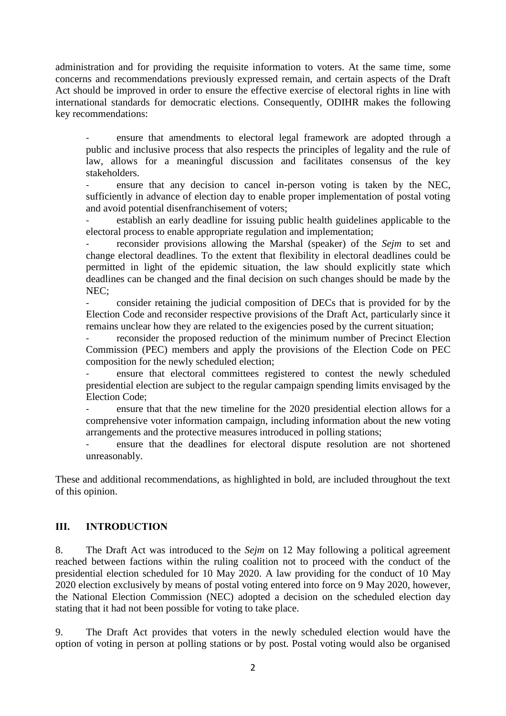administration and for providing the requisite information to voters. At the same time, some concerns and recommendations previously expressed remain, and certain aspects of the Draft Act should be improved in order to ensure the effective exercise of electoral rights in line with international standards for democratic elections. Consequently, ODIHR makes the following key recommendations:

- ensure that amendments to electoral legal framework are adopted through a public and inclusive process that also respects the principles of legality and the rule of law, allows for a meaningful discussion and facilitates consensus of the key stakeholders.

ensure that any decision to cancel in-person voting is taken by the NEC, sufficiently in advance of election day to enable proper implementation of postal voting and avoid potential disenfranchisement of voters;

establish an early deadline for issuing public health guidelines applicable to the electoral process to enable appropriate regulation and implementation;

reconsider provisions allowing the Marshal (speaker) of the *Sejm* to set and change electoral deadlines. To the extent that flexibility in electoral deadlines could be permitted in light of the epidemic situation, the law should explicitly state which deadlines can be changed and the final decision on such changes should be made by the NEC;

- consider retaining the judicial composition of DECs that is provided for by the Election Code and reconsider respective provisions of the Draft Act, particularly since it remains unclear how they are related to the exigencies posed by the current situation;

reconsider the proposed reduction of the minimum number of Precinct Election Commission (PEC) members and apply the provisions of the Election Code on PEC composition for the newly scheduled election;

ensure that electoral committees registered to contest the newly scheduled presidential election are subject to the regular campaign spending limits envisaged by the Election Code;

ensure that that the new timeline for the 2020 presidential election allows for a comprehensive voter information campaign, including information about the new voting arrangements and the protective measures introduced in polling stations;

- ensure that the deadlines for electoral dispute resolution are not shortened unreasonably.

These and additional recommendations, as highlighted in bold, are included throughout the text of this opinion.

#### <span id="page-3-0"></span>**III. INTRODUCTION**

8. The Draft Act was introduced to the *Sejm* on 12 May following a political agreement reached between factions within the ruling coalition not to proceed with the conduct of the presidential election scheduled for 10 May 2020. A law providing for the conduct of 10 May 2020 election exclusively by means of postal voting entered into force on 9 May 2020, however, the National Election Commission (NEC) adopted a decision on the scheduled election day stating that it had not been possible for voting to take place.

9. The Draft Act provides that voters in the newly scheduled election would have the option of voting in person at polling stations or by post. Postal voting would also be organised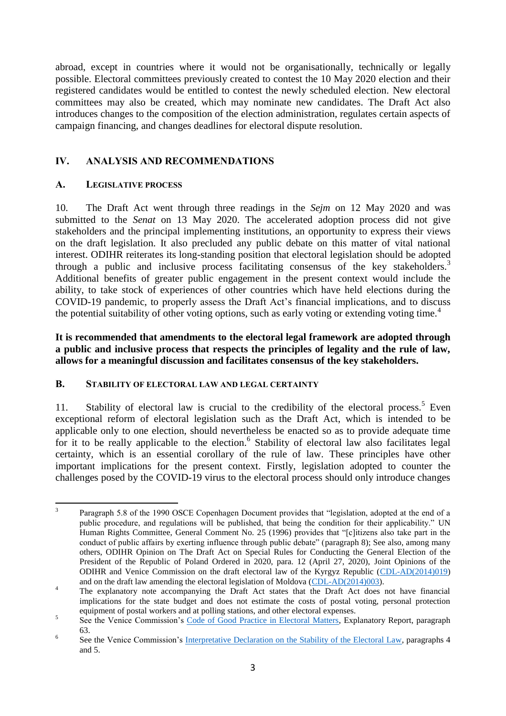abroad, except in countries where it would not be organisationally, technically or legally possible. Electoral committees previously created to contest the 10 May 2020 election and their registered candidates would be entitled to contest the newly scheduled election. New electoral committees may also be created, which may nominate new candidates. The Draft Act also introduces changes to the composition of the election administration, regulates certain aspects of campaign financing, and changes deadlines for electoral dispute resolution.

# <span id="page-4-0"></span>**IV. ANALYSIS AND RECOMMENDATIONS**

### <span id="page-4-1"></span>**A. LEGISLATIVE PROCESS**

10. The Draft Act went through three readings in the *Sejm* on 12 May 2020 and was submitted to the *Senat* on 13 May 2020. The accelerated adoption process did not give stakeholders and the principal implementing institutions, an opportunity to express their views on the draft legislation. It also precluded any public debate on this matter of vital national interest. ODIHR reiterates its long-standing position that electoral legislation should be adopted through a public and inclusive process facilitating consensus of the key stakeholders.<sup>3</sup> Additional benefits of greater public engagement in the present context would include the ability, to take stock of experiences of other countries which have held elections during the COVID-19 pandemic, to properly assess the Draft Act's financial implications, and to discuss the potential suitability of other voting options, such as early voting or extending voting time.<sup>4</sup>

**It is recommended that amendments to the electoral legal framework are adopted through a public and inclusive process that respects the principles of legality and the rule of law, allows for a meaningful discussion and facilitates consensus of the key stakeholders.**

#### <span id="page-4-2"></span>**B. STABILITY OF ELECTORAL LAW AND LEGAL CERTAINTY**

11. Stability of electoral law is crucial to the credibility of the electoral process.<sup>5</sup> Even exceptional reform of electoral legislation such as the Draft Act, which is intended to be applicable only to one election, should nevertheless be enacted so as to provide adequate time for it to be really applicable to the election.<sup>6</sup> Stability of electoral law also facilitates legal certainty, which is an essential corollary of the rule of law. These principles have other important implications for the present context. Firstly, legislation adopted to counter the challenges posed by the COVID-19 virus to the electoral process should only introduce changes

 3 Paragraph 5.8 of the 1990 OSCE Copenhagen Document provides that "legislation, adopted at the end of a public procedure, and regulations will be published, that being the condition for their applicability." UN Human Rights Committee, General Comment No. 25 (1996) provides that "[c]itizens also take part in the conduct of public affairs by exerting influence through public debate" (paragraph 8); See also, among many others, ODIHR Opinion on The Draft Act on Special Rules for Conducting the General Election of the President of the Republic of Poland Ordered in 2020, para. 12 (April 27, 2020), Joint Opinions of the ODIHR and Venice Commission on the draft electoral law of the Kyrgyz Republic [\(CDL-AD\(2014\)019\)](https://www.venice.coe.int/webforms/documents/?pdf=CDL-AD(2014)019-e) and on the draft law amending the electoral legislation of Moldova [\(CDL-AD\(2014\)003\)](https://www.venice.coe.int/webforms/documents/?pdf=CDL-AD(2014)003-e).

<sup>&</sup>lt;sup>4</sup> The explanatory note accompanying the Draft Act states that the Draft Act does not have financial implications for the state budget and does not estimate the costs of postal voting, personal protection equipment of postal workers and at polling stations, and other electoral expenses.

<sup>5</sup> See the Venice Commission's [Code of Good Practice in Electoral Matters,](https://www.venice.coe.int/webforms/documents/default.aspx?pdffile=CDL-AD(2002)023rev2-cor-e) Explanatory Report, paragraph 63.

<sup>6</sup> See the Venice Commission's [Interpretative Declaration on the Stability of the Electoral Law,](https://www.venice.coe.int/webforms/documents/default.aspx?pdffile=CDL-AD(2005)043-e) paragraphs 4 and 5.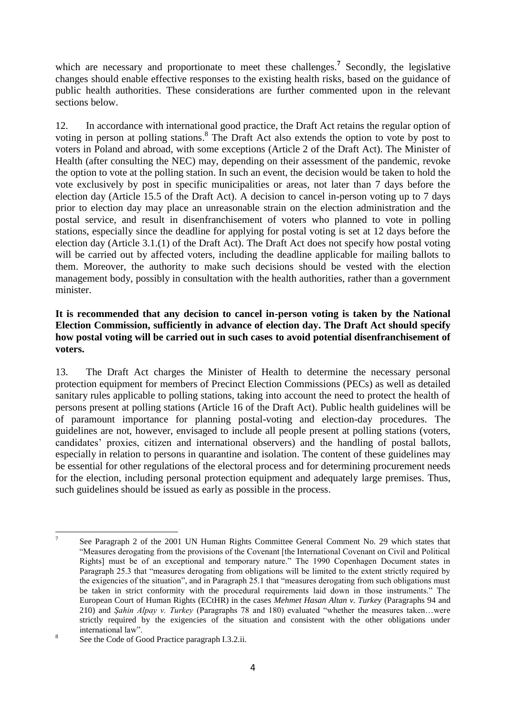which are necessary and proportionate to meet these challenges.<sup>7</sup> Secondly, the legislative changes should enable effective responses to the existing health risks, based on the guidance of public health authorities. These considerations are further commented upon in the relevant sections below.

12. In accordance with international good practice, the Draft Act retains the regular option of voting in person at polling stations. 8 The Draft Act also extends the option to vote by post to voters in Poland and abroad, with some exceptions (Article 2 of the Draft Act). The Minister of Health (after consulting the NEC) may, depending on their assessment of the pandemic, revoke the option to vote at the polling station. In such an event, the decision would be taken to hold the vote exclusively by post in specific municipalities or areas, not later than 7 days before the election day (Article 15.5 of the Draft Act). A decision to cancel in-person voting up to 7 days prior to election day may place an unreasonable strain on the election administration and the postal service, and result in disenfranchisement of voters who planned to vote in polling stations, especially since the deadline for applying for postal voting is set at 12 days before the election day (Article 3.1.(1) of the Draft Act). The Draft Act does not specify how postal voting will be carried out by affected voters, including the deadline applicable for mailing ballots to them. Moreover, the authority to make such decisions should be vested with the election management body, possibly in consultation with the health authorities, rather than a government minister.

### **It is recommended that any decision to cancel in-person voting is taken by the National Election Commission, sufficiently in advance of election day. The Draft Act should specify how postal voting will be carried out in such cases to avoid potential disenfranchisement of voters.**

13. The Draft Act charges the Minister of Health to determine the necessary personal protection equipment for members of Precinct Election Commissions (PECs) as well as detailed sanitary rules applicable to polling stations, taking into account the need to protect the health of persons present at polling stations (Article 16 of the Draft Act). Public health guidelines will be of paramount importance for planning postal-voting and election-day procedures. The guidelines are not, however, envisaged to include all people present at polling stations (voters, candidates' proxies, citizen and international observers) and the handling of postal ballots, especially in relation to persons in quarantine and isolation. The content of these guidelines may be essential for other regulations of the electoral process and for determining procurement needs for the election, including personal protection equipment and adequately large premises. Thus, such guidelines should be issued as early as possible in the process.

<sup>-&</sup>lt;br>7 See Paragraph 2 of the 2001 UN Human Rights Committee General Comment No. 29 which states that "Measures derogating from the provisions of the Covenant [the International Covenant on Civil and Political Rights] must be of an exceptional and temporary nature." The 1990 Copenhagen Document states in Paragraph 25.3 that "measures derogating from obligations will be limited to the extent strictly required by the exigencies of the situation", and in Paragraph 25.1 that "measures derogating from such obligations must be taken in strict conformity with the procedural requirements laid down in those instruments." The European Court of Human Rights (ECtHR) in the cases *Mehmet Hasan Altan v. Turkey* (Paragraphs 94 and 210) and *Şahin Alpay v. Turkey* (Paragraphs 78 and 180) evaluated "whether the measures taken…were strictly required by the exigencies of the situation and consistent with the other obligations under international law".

<sup>8</sup> See the Code of Good Practice paragraph I.3.2.ii.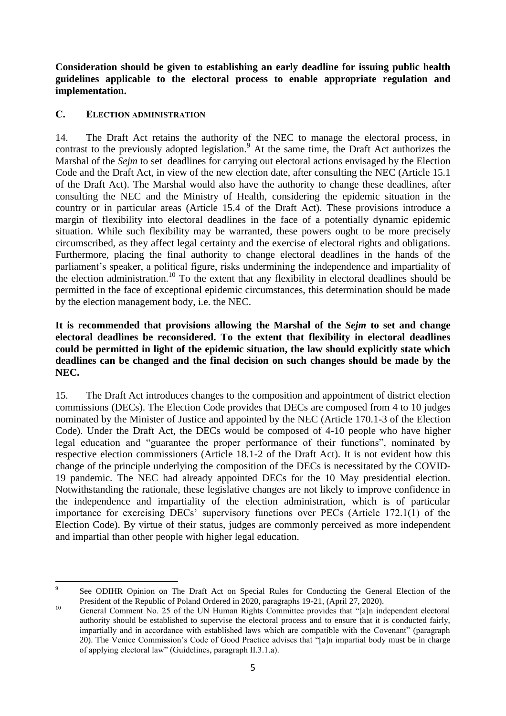**Consideration should be given to establishing an early deadline for issuing public health guidelines applicable to the electoral process to enable appropriate regulation and implementation.** 

### <span id="page-6-0"></span>**C. ELECTION ADMINISTRATION**

14. The Draft Act retains the authority of the NEC to manage the electoral process, in contrast to the previously adopted legislation.<sup>9</sup> At the same time, the Draft Act authorizes the Marshal of the *Sejm* to set deadlines for carrying out electoral actions envisaged by the Election Code and the Draft Act, in view of the new election date, after consulting the NEC (Article 15.1 of the Draft Act). The Marshal would also have the authority to change these deadlines, after consulting the NEC and the Ministry of Health, considering the epidemic situation in the country or in particular areas (Article 15.4 of the Draft Act). These provisions introduce a margin of flexibility into electoral deadlines in the face of a potentially dynamic epidemic situation. While such flexibility may be warranted, these powers ought to be more precisely circumscribed, as they affect legal certainty and the exercise of electoral rights and obligations. Furthermore, placing the final authority to change electoral deadlines in the hands of the parliament's speaker, a political figure, risks undermining the independence and impartiality of the election administration.<sup>10</sup> To the extent that any flexibility in electoral deadlines should be permitted in the face of exceptional epidemic circumstances, this determination should be made by the election management body, i.e. the NEC.

#### **It is recommended that provisions allowing the Marshal of the** *Sejm* **to set and change electoral deadlines be reconsidered. To the extent that flexibility in electoral deadlines could be permitted in light of the epidemic situation, the law should explicitly state which deadlines can be changed and the final decision on such changes should be made by the NEC.**

15. The Draft Act introduces changes to the composition and appointment of district election commissions (DECs). The Election Code provides that DECs are composed from 4 to 10 judges nominated by the Minister of Justice and appointed by the NEC (Article 170.1-3 of the Election Code). Under the Draft Act, the DECs would be composed of 4-10 people who have higher legal education and "guarantee the proper performance of their functions", nominated by respective election commissioners (Article 18.1-2 of the Draft Act). It is not evident how this change of the principle underlying the composition of the DECs is necessitated by the COVID-19 pandemic. The NEC had already appointed DECs for the 10 May presidential election. Notwithstanding the rationale, these legislative changes are not likely to improve confidence in the independence and impartiality of the election administration, which is of particular importance for exercising DECs' supervisory functions over PECs (Article 172.1(1) of the Election Code). By virtue of their status, judges are commonly perceived as more independent and impartial than other people with higher legal education.

<sup>-&</sup>lt;br>9 See ODIHR Opinion on The Draft Act on Special Rules for Conducting the General Election of the President of the Republic of Poland Ordered in 2020, paragraphs 19-21, (April 27, 2020).

<sup>&</sup>lt;sup>10</sup> General Comment No. 25 of the UN Human Rights Committee provides that "[a]n independent electoral authority should be established to supervise the electoral process and to ensure that it is conducted fairly, impartially and in accordance with established laws which are compatible with the Covenant" (paragraph 20). The Venice Commission's Code of Good Practice advises that "[a]n impartial body must be in charge of applying electoral law" (Guidelines, paragraph II.3.1.a).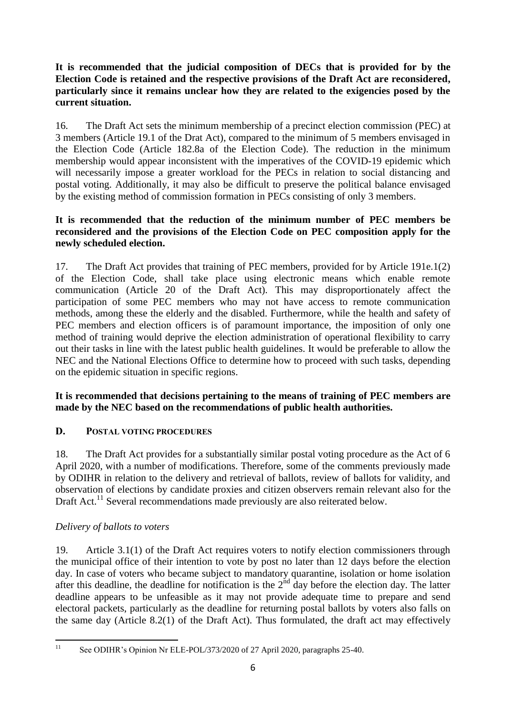### **It is recommended that the judicial composition of DECs that is provided for by the Election Code is retained and the respective provisions of the Draft Act are reconsidered, particularly since it remains unclear how they are related to the exigencies posed by the current situation.**

16. The Draft Act sets the minimum membership of a precinct election commission (PEC) at 3 members (Article 19.1 of the Drat Act), compared to the minimum of 5 members envisaged in the Election Code (Article 182.8a of the Election Code). The reduction in the minimum membership would appear inconsistent with the imperatives of the COVID-19 epidemic which will necessarily impose a greater workload for the PECs in relation to social distancing and postal voting. Additionally, it may also be difficult to preserve the political balance envisaged by the existing method of commission formation in PECs consisting of only 3 members.

### **It is recommended that the reduction of the minimum number of PEC members be reconsidered and the provisions of the Election Code on PEC composition apply for the newly scheduled election.**

17. The Draft Act provides that training of PEC members, provided for by Article 191e.1(2) of the Election Code, shall take place using electronic means which enable remote communication (Article 20 of the Draft Act). This may disproportionately affect the participation of some PEC members who may not have access to remote communication methods, among these the elderly and the disabled. Furthermore, while the health and safety of PEC members and election officers is of paramount importance, the imposition of only one method of training would deprive the election administration of operational flexibility to carry out their tasks in line with the latest public health guidelines. It would be preferable to allow the NEC and the National Elections Office to determine how to proceed with such tasks, depending on the epidemic situation in specific regions.

# **It is recommended that decisions pertaining to the means of training of PEC members are made by the NEC based on the recommendations of public health authorities.**

# <span id="page-7-0"></span>**D. POSTAL VOTING PROCEDURES**

18. The Draft Act provides for a substantially similar postal voting procedure as the Act of 6 April 2020, with a number of modifications. Therefore, some of the comments previously made by ODIHR in relation to the delivery and retrieval of ballots, review of ballots for validity, and observation of elections by candidate proxies and citizen observers remain relevant also for the Draft Act.<sup>11</sup> Several recommendations made previously are also reiterated below.

### <span id="page-7-1"></span>*Delivery of ballots to voters*

19. Article 3.1(1) of the Draft Act requires voters to notify election commissioners through the municipal office of their intention to vote by post no later than 12 days before the election day. In case of voters who became subject to mandatory quarantine, isolation or home isolation after this deadline, the deadline for notification is the  $2<sup>nd</sup>$  day before the election day. The latter deadline appears to be unfeasible as it may not provide adequate time to prepare and send electoral packets, particularly as the deadline for returning postal ballots by voters also falls on the same day (Article 8.2(1) of the Draft Act). Thus formulated, the draft act may effectively

 $11\,$ See ODIHR's Opinion Nr ELE-POL/373/2020 of 27 April 2020, paragraphs 25-40.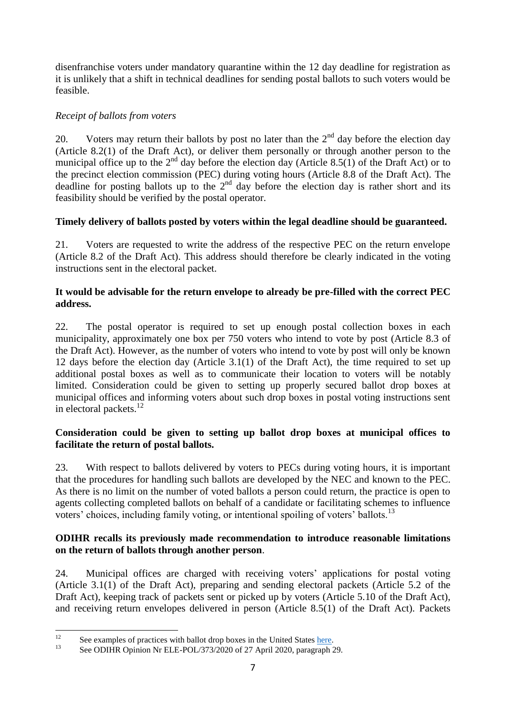disenfranchise voters under mandatory quarantine within the 12 day deadline for registration as it is unlikely that a shift in technical deadlines for sending postal ballots to such voters would be feasible.

# <span id="page-8-0"></span>*Receipt of ballots from voters*

20. Voters may return their ballots by post no later than the  $2<sup>nd</sup>$  day before the election day (Article 8.2(1) of the Draft Act), or deliver them personally or through another person to the municipal office up to the  $2<sup>nd</sup>$  day before the election day (Article 8.5(1) of the Draft Act) or to the precinct election commission (PEC) during voting hours (Article 8.8 of the Draft Act). The deadline for posting ballots up to the  $2<sup>nd</sup>$  day before the election day is rather short and its feasibility should be verified by the postal operator.

# **Timely delivery of ballots posted by voters within the legal deadline should be guaranteed.**

21. Voters are requested to write the address of the respective PEC on the return envelope (Article 8.2 of the Draft Act). This address should therefore be clearly indicated in the voting instructions sent in the electoral packet.

### **It would be advisable for the return envelope to already be pre-filled with the correct PEC address.**

22. The postal operator is required to set up enough postal collection boxes in each municipality, approximately one box per 750 voters who intend to vote by post (Article 8.3 of the Draft Act). However, as the number of voters who intend to vote by post will only be known 12 days before the election day (Article 3.1(1) of the Draft Act), the time required to set up additional postal boxes as well as to communicate their location to voters will be notably limited. Consideration could be given to setting up properly secured ballot drop boxes at municipal offices and informing voters about such drop boxes in postal voting instructions sent in electoral packets.<sup>12</sup>

#### **Consideration could be given to setting up ballot drop boxes at municipal offices to facilitate the return of postal ballots.**

23. With respect to ballots delivered by voters to PECs during voting hours, it is important that the procedures for handling such ballots are developed by the NEC and known to the PEC. As there is no limit on the number of voted ballots a person could return, the practice is open to agents collecting completed ballots on behalf of a candidate or facilitating schemes to influence voters' choices, including family voting, or intentional spoiling of voters' ballots.<sup>13</sup>

### **ODIHR recalls its previously made recommendation to introduce reasonable limitations on the return of ballots through another person**.

24. Municipal offices are charged with receiving voters' applications for postal voting (Article 3.1(1) of the Draft Act), preparing and sending electoral packets (Article 5.2 of the Draft Act), keeping track of packets sent or picked up by voters (Article 5.10 of the Draft Act), and receiving return envelopes delivered in person (Article 8.5(1) of the Draft Act). Packets

 $12$ <sup>12</sup> See examples of practices with ballot drop boxes in the United States [here.](https://www.eac.gov/sites/default/files/electionofficials/vbm/Ballot_Drop-Box.pdf)

See ODIHR Opinion Nr ELE-POL/373/2020 of 27 April 2020, paragraph 29.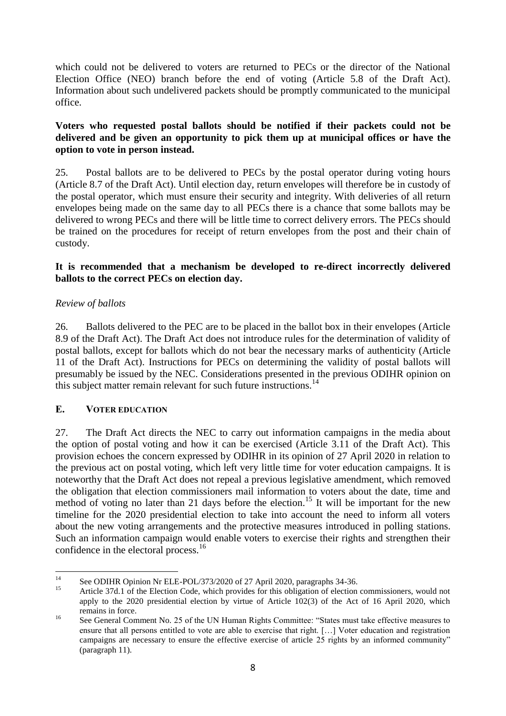which could not be delivered to voters are returned to PECs or the director of the National Election Office (NEO) branch before the end of voting (Article 5.8 of the Draft Act). Information about such undelivered packets should be promptly communicated to the municipal office.

### **Voters who requested postal ballots should be notified if their packets could not be delivered and be given an opportunity to pick them up at municipal offices or have the option to vote in person instead.**

25. Postal ballots are to be delivered to PECs by the postal operator during voting hours (Article 8.7 of the Draft Act). Until election day, return envelopes will therefore be in custody of the postal operator, which must ensure their security and integrity. With deliveries of all return envelopes being made on the same day to all PECs there is a chance that some ballots may be delivered to wrong PECs and there will be little time to correct delivery errors. The PECs should be trained on the procedures for receipt of return envelopes from the post and their chain of custody.

### **It is recommended that a mechanism be developed to re-direct incorrectly delivered ballots to the correct PECs on election day.**

### <span id="page-9-0"></span>*Review of ballots*

26. Ballots delivered to the PEC are to be placed in the ballot box in their envelopes (Article 8.9 of the Draft Act). The Draft Act does not introduce rules for the determination of validity of postal ballots, except for ballots which do not bear the necessary marks of authenticity (Article 11 of the Draft Act). Instructions for PECs on determining the validity of postal ballots will presumably be issued by the NEC. Considerations presented in the previous ODIHR opinion on this subject matter remain relevant for such future instructions.<sup>14</sup>

### <span id="page-9-1"></span>**E. VOTER EDUCATION**

27. The Draft Act directs the NEC to carry out information campaigns in the media about the option of postal voting and how it can be exercised (Article 3.11 of the Draft Act). This provision echoes the concern expressed by ODIHR in its opinion of 27 April 2020 in relation to the previous act on postal voting, which left very little time for voter education campaigns. It is noteworthy that the Draft Act does not repeal a previous legislative amendment, which removed the obligation that election commissioners mail information to voters about the date, time and method of voting no later than 21 days before the election.<sup>15</sup> It will be important for the new timeline for the 2020 presidential election to take into account the need to inform all voters about the new voting arrangements and the protective measures introduced in polling stations. Such an information campaign would enable voters to exercise their rights and strengthen their confidence in the electoral process.<sup>16</sup>

 $14$ <sup>14</sup> See ODIHR Opinion Nr ELE-POL/373/2020 of 27 April 2020, paragraphs 34-36.

Article 37d.1 of the Election Code, which provides for this obligation of election commissioners, would not apply to the 2020 presidential election by virtue of Article 102(3) of the Act of 16 April 2020, which remains in force.

<sup>&</sup>lt;sup>16</sup> See General Comment No. 25 of the UN Human Rights Committee: "States must take effective measures to ensure that all persons entitled to vote are able to exercise that right. […] Voter education and registration campaigns are necessary to ensure the effective exercise of article 25 rights by an informed community" (paragraph 11).